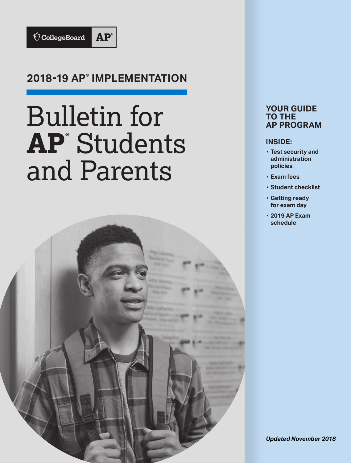

# **2018-19 AP® IMPLEMENTATION**

# Bulletin for **AP®** Students and Parents



### **YOUR GUIDE TO THE AP PROGRAM**

#### **INSIDE:**

- **▪ Test security and administration policies**
- **▪ Exam fees**
- **▪ Student checklist**
- **▪ Getting ready for exam day**
- **▪ 2019 AP Exam schedule**

*Updated November 2018*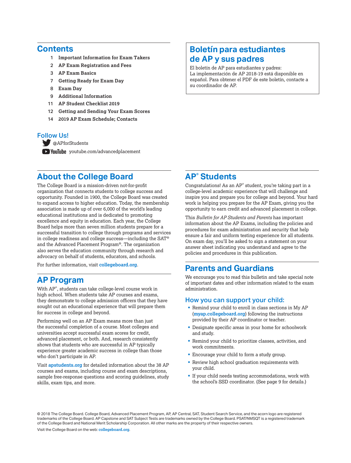#### **Contents**

- 1 **[Important Information for Exam Takers](#page--1-0)**
- 2 **[AP Exam Registration and Fees](#page-3-0)**
- 3 **[AP Exam Basics](#page--1-0)**
- 7 **[Getting Ready for Exam Day](#page-8-0)**
- 8 **[Exam Day](#page-9-0)**
- 9 **[Additional Information](#page-10-0)**
- 11 **[AP Student Checklist 2019](#page-12-0)**
- 12 **[Getting and Sending Your Exam Scores](#page-13-0)**
- 14 **[2019 AP Exam Schedule; Contacts](#page-15-0)**

#### Follow Us!

[@APforStudents](https://twitter.com/APforStudents)

**E** YouTube [youtube.com/advancedplacement](http://youtube.com/advancedplacement)

# **About the College Board**

The College Board is a mission-driven not-for-profit organization that connects students to college success and opportunity. Founded in 1900, the College Board was created to expand access to higher education. Today, the membership association is made up of over 6,000 of the world's leading educational institutions and is dedicated to promoting excellence and equity in education. Each year, the College Board helps more than seven million students prepare for a successful transition to college through programs and services in college readiness and college success—including the SAT® and the Advanced Placement Program®. The organization also serves the education community through research and advocacy on behalf of students, educators, and schools.

For further information, visit **[collegeboard.org](http://www.collegeboard.org)**.

### **AP Program**

With AP® , students can take college-level course work in high school. When students take AP courses and exams, they demonstrate to college admission officers that they have sought out an educational experience that will prepare them for success in college and beyond.

Performing well on an AP Exam means more than just the successful completion of a course. Most colleges and universities accept successful exam scores for credit, advanced placement, or both. And, research consistently shows that students who are successful in AP typically experience greater academic success in college than those who don't participate in AP.

Visit **[apstudents.org](http://apstudents.org)** for detailed information about the 38 AP courses and exams, including course and exam descriptions, sample free-response questions and scoring guidelines, study skills, exam tips, and more.

# **Boletín para estudiantes de AP y sus padres**

El boletín de AP para estudiantes y padres: La implementación de AP 2018-19 está disponible en español. Para obtener el PDF de este boletín, contacte a su coordinador de AP.

# **AP® Students**

Congratulations! As an AP® student, you're taking part in a college-level academic experience that will challenge and inspire you and prepare you for college and beyond. Your hard work is helping you prepare for the AP Exam, giving you the opportunity to earn credit and advanced placement in college.

This *Bulletin for AP Students and Parents* has important information about the AP Exams, including the policies and procedures for exam administration and security that help ensure a fair and uniform testing experience for all students. On exam day, you'll be asked to sign a statement on your answer sheet indicating you understand and agree to the policies and procedures in this publication.

### **Parents and Guardians**

We encourage you to read this bulletin and take special note of important dates and other information related to the exam administration.

#### How you can support your child:

- § Remind your child to enroll in class sections in My AP (**[myap.collegeboard.org](https://myap.collegeboard.org/login)**) following the instructions provided by their AP coordinator or teacher.
- Designate specific areas in your home for schoolwork and study.
- § Remind your child to prioritize classes, activities, and work commitments.
- Encourage your child to form a study group.
- **Review high school graduation requirements with** your child.
- § If your child needs testing accommodations, work with the school's SSD coordinator. (See page 9 for details.)

© 2018 The College Board, College Board, Advanced Placement Program, AP, AP Central, SAT, Student Search Service, and the acorn logo are registered trademarks of the College Board. AP Capstone and SAT Subject Tests are trademarks owned by the College Board. PSAT/NMSQT is a registered trademark of the College Board and National Merit Scholarship Corporation. All other marks are the property of their respective owners.

Visit the College Board on the web: **[collegeboard.org](http://www.collegeboard.org)**.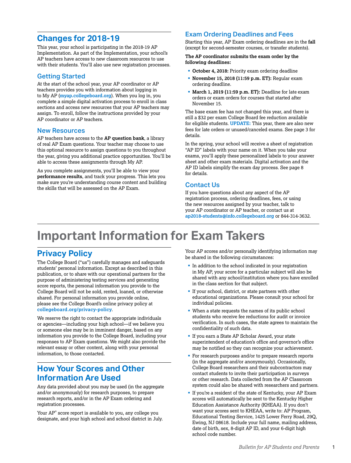# **Changes for 2018-19**

This year, your school is participating in the 2018-19 AP Implementation. As part of the Implementation, your school's AP teachers have access to new classroom resources to use with their students. You'll also use new registration processes.

#### Getting Started

At the start of the school year, your AP coordinator or AP teachers provides you with information about logging in to My AP (**[myap.collegeboard.org](https://myap.collegeboard.org/login)**). When you log in, you complete a simple digital activation process to enroll in class sections and access new resources that your AP teachers may assign. To enroll, follow the instructions provided by your AP coordinator or AP teachers.

#### New Resources

AP teachers have access to the **AP question bank**, a library of real AP Exam questions. Your teacher may choose to use this optional resource to assign questions to you throughout the year, giving you additional practice opportunities. You'll be able to access these assignments through My AP.

As you complete assignments, you'll be able to view your **performance results**, and track your progress. This lets you make sure you're understanding course content and building the skills that will be assessed on the AP Exam.

#### Exam Ordering Deadlines and Fees

Starting this year, AP Exam ordering deadlines are in the **fall** (except for second-semester courses, or transfer students).

**The AP coordinator submits the exam order by the following deadlines:**

- § **October 4, 2018:** Priority exam ordering deadline
- § **November 15, 2018 (11:59 p.m. ET):** Regular exam ordering deadline.
- § **March 1, 2019 (11:59 p.m. ET):** Deadline for late exam orders or exam orders for courses that started after November 15.

The base exam fee has not changed this year, and there is still a \$32 per exam College Board fee reduction available for eligible students. **UPDATE:** This year, there are also new fees for late orders or unused/canceled exams. See page 3 for details.

In the spring, your school will receive a sheet of registration "AP ID" labels with your name on it. When you take your exams, you'll apply these personalized labels to your answer sheet and other exam materials. Digital activation and the AP ID labels simplify the exam day process. See page 8 for details.

#### Contact Us

If you have questions about any aspect of the AP registration process, ordering deadlines, fees, or using the new resources assigned by your teacher, talk to your AP coordinator or AP teacher, or contact us at **[ap2018-students@info.collegeboard.org](mailto:ap2018-students%40info.collegeboard.org?subject=)** or 844-314-3632.

# **Important Information for Exam Takers**

# **Privacy Policy**

The College Board ("us") carefully manages and safeguards students' personal information. Except as described in this publication, or to share with our operational partners for the purpose of administering testing services and generating score reports, the personal information you provide to the College Board will not be sold, rented, loaned, or otherwise shared. For personal information you provide online, please see the College Board's online privacy policy at **[collegeboard.org/privacy-policy](http://www.collegeboard.org/privacy-policy)**.

We reserve the right to contact the appropriate individuals or agencies—including your high school—if we believe you or someone else may be in imminent danger, based on any information you provide to the College Board, including your responses to AP Exam questions. We might also provide the relevant essay or other content, along with your personal information, to those contacted.

# **How Your Scores and Other Information Are Used**

Any data provided about you may be used (in the aggregate and/or anonymously) for research purposes, to prepare research reports, and/or in the AP Exam ordering and registration processes.

Your AP® score report is available to you, any college you designate, and your high school and school district in July.

Your AP scores and/or personally identifying information may be shared in the following circumstances:

- In addition to the school indicated in your registration in My AP, your score for a particular subject will also be shared with any school/institution where you have enrolled in the class section for that subject.
- § If your school, district, or state partners with other educational organizations. Please consult your school for individual policies.
- § When a state requests the names of its public school students who receive fee reductions for audit or invoice verification. In such cases, the state agrees to maintain the confidentiality of such data.
- § If you earn a State AP Scholar Award, your state superintendent of education's office and governor's office may be notified so they can recognize your achievement.
- § For research purposes and/or to prepare research reports (in the aggregate and/or anonymously). Occasionally, College Board researchers and their subcontractors may contact students to invite their participation in surveys or other research. Data collected from the AP Classroom system could also be shared with researchers and partners.
- § If you're a resident of the state of Kentucky, your AP Exam scores will automatically be sent to the Kentucky Higher Education Assistance Authority (KHEAA). If you don't want your scores sent to KHEAA, write to: AP Program, Educational Testing Service, 1425 Lower Ferry Road, 29Q, Ewing, NJ 08618. Include your full name, mailing address, date of birth, sex, 8-digit AP ID, and your 6-digit high school code number.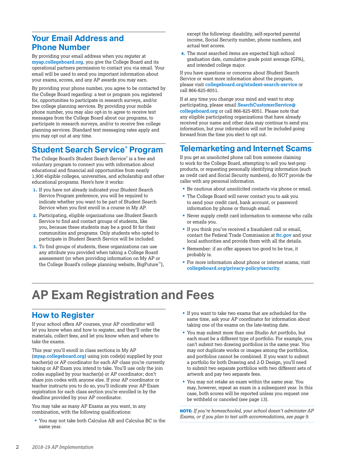# <span id="page-3-0"></span>**Your Email Address and Phone Number**

By providing your email address when you register at **[myap.collegeboard.org](https://myap.collegeboard.org/login)**, you give the College Board and its operational partners permission to contact you via email. Your email will be used to send you important information about your exams, scores, and any AP awards you may earn.

By providing your phone number, you agree to be contacted by the College Board regarding: a test or program you registered for, opportunities to participate in research surveys, and/or free college planning services. By providing your mobile phone number, you may also opt-in to agree to receive text messages from the College Board about our programs, to participate in research surveys, and/or to receive free college planning services. Standard text messaging rates apply and you may opt out at any time.

# **Student Search Service® Program**

The College Board's Student Search Service® is a free and voluntary program to connect you with information about educational and financial aid opportunities from nearly 1,900 eligible colleges, universities, and scholarship and other educational programs. Here's how it works:

- **1.** If you have not already indicated your Student Search Service Program preference, you will be required to indicate whether you want to be part of Student Search Service when you first enroll in a course in My AP.
- **2.** Participating, eligible organizations use Student Search Service to find and contact groups of students, like you, because these students may be a good fit for their communities and programs. Only students who opted to participate in Student Search Service will be included.
- **3.** To find groups of students, these organizations can use any attribute you provided when taking a College Board assessment (or when providing information on My AP or the College Board's college planning website, BigFuture™),

except the following: disability, self-reported parental income, Social Security number, phone numbers, and actual test scores.

**4.** The most searched items are expected high school graduation date, cumulative grade point average (GPA), and intended college major.

If you have questions or concerns about Student Search Service or want more information about the program, please visit **[collegeboard.org/student-search-service](http://www.collegeboard.org/student-search-service)** or call 866-825-8051.

If at any time you change your mind and want to stop participating, please email **[SearchCustomerService@](mailto:SearchCustomerService%40collegeboard.org?subject=) [collegeboard.org](mailto:SearchCustomerService%40collegeboard.org?subject=)** or call 866-825-8051. Please note that any eligible participating organizations that have already received your name and other data may continue to send you information, but your information will not be included going forward from the time you elect to opt out.

# **Telemarketing and Internet Scams**

If you get an unsolicited phone call from someone claiming to work for the College Board, attempting to sell you test-prep products, or requesting personally identifying information (such as credit card and Social Security numbers), do NOT provide the caller with any personal information.

- § Be cautious about unsolicited contacts via phone or email.
- § The College Board will never contact you to ask you to send your credit card, bank account, or password information by phone or through email.
- § Never supply credit card information to someone who calls or emails you.
- § If you think you've received a fraudulent call or email, contact the Federal Trade Commission at **[ftc.gov](https://www.ftc.gov)** and your local authorities and provide them with all the details.
- Remember: if an offer appears too good to be true, it probably is.
- For more information about phone or internet scams, visit **[collegeboard.org/privacy-policy/security](http://www.collegeboard.org/privacy-policy/security)**.

# **AP Exam Registration and Fees**

# **How to Register**

If your school offers AP courses, your AP coordinator will let you know when and how to register, and they'll order the materials, collect fees, and let you know when and where to take the exams.

This year you'll enroll in class sections in My AP (**[myap.collegeboard.org](http://myap.collegeboard.org)**) using join code(s) supplied by your teacher(s) or AP coordinator for each AP class you're currently taking or AP Exam you intend to take. You'll use only the join codes supplied by your teacher(s) or AP coordinator; don't share join codes with anyone else. If your AP coordinator or teacher instructs you to do so, you'll indicate your AP Exam registration for each class section you're enrolled in by the deadline provided by your AP coordinator.

You may take as many AP Exams as you want, in any combination, with the following qualifications:

§ You may not take both Calculus AB and Calculus BC in the same year.

- If you want to take two exams that are scheduled for the same time, ask your AP coordinator for information about taking one of the exams on the late-testing date.
- § You may submit more than one Studio Art portfolio, but each must be a different type of portfolio. For example, you can't submit two drawing portfolios in the same year. You may not duplicate works or images among the portfolios, and portfolios cannot be combined. If you want to submit a portfolio for both Drawing and 2-D Design, you'll need to submit two separate portfolios with two different sets of artwork and pay two separate fees.
- § You may not retake an exam within the same year. You may, however, repeat an exam in a subsequent year. In this case, both scores will be reported unless you request one be withheld or canceled (see page 13).

**NOTE:** *If you're homeschooled, your school doesn't administer AP Exams, or if you plan to test with accommodations, see page 9.*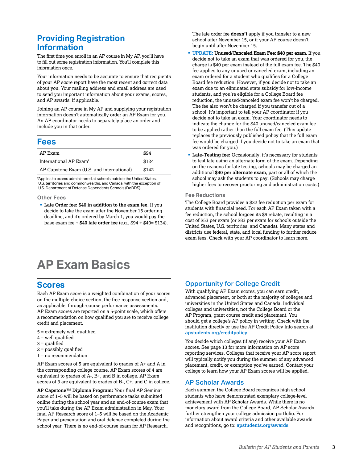# **Providing Registration Information**

The first time you enroll in an AP course in My AP, you'll have to fill out some registration information. You'll complete this information once.

Your information needs to be accurate to ensure that recipients of your AP score report have the most recent and correct data about you. Your mailing address and email address are used to send you important information about your exams, scores, and AP awards, if applicable.

Joining an AP course in My AP and supplying your registration information doesn't automatically order an AP Exam for you. An AP coordinator needs to separately place an order and include you in that order.

#### **Fees**

| AP Exam                                   | \$94  |
|-------------------------------------------|-------|
| International AP Exam <sup>*</sup>        | \$124 |
| AP Capstone Exam (U.S. and international) | \$142 |

\*Applies to exams administered at schools outside the United States, U.S. territories and commonwealths, and Canada, with the exception of U.S. Department of Defense Dependents Schools (DoDDS).

#### **Other Fees**

§ **Late Order fee: \$40 in addition to the exam fee.** If you decide to take the exam after the November 15 ordering deadline, and it's ordered by March 1, you would pay the base exam fee + **\$40 late order fee** (e.g., \$94 + \$40= \$134). The late order fee **doesn't** apply if you transfer to a new school after November 15, or if your AP course doesn't begin until after November 15.

- § **UPDATE:** Unused/Canceled Exam Fee: \$40 per exam. If you decide not to take an exam that was ordered for you, the charge is \$40 per exam instead of the full exam fee. The \$40 fee applies to any unused or canceled exam, including an exam ordered for a student who qualifies for a College Board fee reduction. However, if you decide not to take an exam due to an eliminated state subsidy for low-income students, and you're eligible for a College Board fee reduction, the unused/canceled exam fee won't be charged. The fee also won't be charged if you transfer out of a school. It's important to tell your AP coordinator if you decide not to take an exam. Your coordinator needs to indicate the change for the \$40 unused/canceled exam fee to be applied rather than the full exam fee. (This update replaces the previously published policy that the full exam fee would be charged if you decide not to take an exam that was ordered for you.)
- § **Late-Testing fee:** Occasionally, it's necessary for students to test late using an alternate form of the exam. Depending on the reasons for late testing, schools may be charged an additional **\$40 per alternate exam**, part or all of which the school may ask the students to pay. (Schools may charge higher fees to recover proctoring and administration costs.)

#### **Fee Reductions**

The College Board provides a \$32 fee reduction per exam for students with financial need. For each AP Exam taken with a fee reduction, the school forgoes its \$9 rebate, resulting in a cost of \$53 per exam (or \$83 per exam for schools outside the United States, U.S. territories, and Canada). Many states and districts use federal, state, and local funding to further reduce exam fees. Check with your AP coordinator to learn more.

# **AP Exam Basics**

### **Scores**

Each AP Exam score is a weighted combination of your scores on the multiple-choice section, the free-response section and, as applicable, through-course performance assessments. AP Exam scores are reported on a 5-point scale, which offers a recommendation on how qualified you are to receive college credit and placement.

- 5 = extremely well qualified
- $4$  = well qualified
- 3 = qualified
- 2 = possibly qualified
- $1 = no$  recommendation

AP Exam scores of 5 are equivalent to grades of A+ and A in the corresponding college course. AP Exam scores of 4 are equivalent to grades of A-, B+, and B in college. AP Exam scores of 3 are equivalent to grades of B-, C+, and C in college.

**AP Capstone™ Diploma Program:** Your final AP Seminar score of 1–5 will be based on performance tasks submitted online during the school year and an end-of-course exam that you'll take during the AP Exam administration in May. Your final AP Research score of 1–5 will be based on the Academic Paper and presentation and oral defense completed during the school year. There is no end-of-course exam for AP Research.

#### Opportunity for College Credit

With qualifying AP Exam scores, you can earn credit, advanced placement, or both at the majority of colleges and universities in the United States and Canada. Individual colleges and universities, not the College Board or the AP Program, grant course credit and placement. You should get a college's AP policy in writing. Check with the institution directly or use the AP Credit Policy Info search at **[apstudents.org/creditpolicy](http://apstudents.org/creditpolicy)**.

You decide which colleges (if any) receive your AP Exam scores. See page 13 for more information on AP score reporting services. Colleges that receive your AP score report will typically notify you during the summer of any advanced placement, credit, or exemption you've earned. Contact your college to learn how your AP Exam scores will be applied.

#### AP Scholar Awards

Each summer, the College Board recognizes high school students who have demonstrated exemplary college-level achievement with AP Scholar Awards. While there is no monetary award from the College Board, AP Scholar Awards further strengthen your college admission portfolio. For information about award criteria and other available awards and recognitions, go to: **[apstudents.org/awards](http://apstudents.org/awards)**.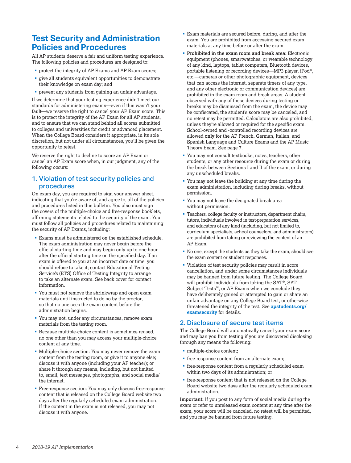# **Test Security and Administration Policies and Procedures**

All AP students deserve a fair and uniform testing experience. The following policies and procedures are designed to:

- § protect the integrity of AP Exams and AP Exam scores;
- § give all students equivalent opportunities to demonstrate their knowledge on exam day; and
- prevent any students from gaining an unfair advantage.

If we determine that your testing experience didn't meet our standards for administering exams—even if this wasn't your fault—we reserve the right to cancel your AP Exam score. This is to protect the integrity of the AP Exam for all AP students, and to ensure that we can stand behind all scores submitted to colleges and universities for credit or advanced placement. When the College Board considers it appropriate, in its sole discretion, but not under all circumstances, you'll be given the opportunity to retest.

We reserve the right to decline to score an AP Exam or cancel an AP Exam score when, in our judgment, any of the following occurs:

#### 1. Violation of test security policies and procedures

On exam day, you are required to sign your answer sheet, indicating that you're aware of, and agree to, all of the policies and procedures listed in this bulletin. You also must sign the covers of the multiple-choice and free-response booklets, affirming statements related to the security of the exam. You must follow all policies and procedures related to maintaining the security of AP Exams, including:

- Exams must be administered on the established schedule. The exam administration may never begin before the official starting time and may begin only up to one hour after the official starting time on the specified day. If an exam is offered to you at an incorrect date or time, you should refuse to take it; contact Educational Testing Service's (ETS) Office of Testing Integrity to arrange to take an alternate exam. See back cover for contact information.
- § You must not remove the shrinkwrap and open exam materials until instructed to do so by the proctor, so that no one sees the exam content before the administration begins.
- § You may not, under any circumstances, remove exam materials from the testing room.
- Because multiple-choice content is sometimes reused, no one other than you may access your multiple-choice content at any time.
- Multiple-choice section: You may never remove the exam content from the testing room, or give it to anyone else; discuss it with anyone (including your AP teacher); or share it through any means, including, but not limited to, email, text messages, photographs, and social media/ the internet.
- § Free-response section: You may only discuss free-response content that is released on the College Board website two days after the regularly scheduled exam administration. If the content in the exam is not released, you may not discuss it with anyone.
- Exam materials are secured before, during, and after the exam. You are prohibited from accessing secured exam materials at any time before or after the exam.
- § **Prohibited in the exam room and break area:** Electronic equipment (phones, smartwatches, or wearable technology of any kind, laptops, tablet computers, Bluetooth devices, portable listening or recording devices—MP3 player, iPod®, etc.—cameras or other photographic equipment, devices that can access the internet, separate timers of any type, and any other electronic or communication devices) are prohibited in the exam room and break areas. A student observed with any of these devices during testing or breaks may be dismissed from the exam, the device may be confiscated, the student's score may be canceled, and no retest may be permitted. Calculators are also prohibited, unless they're allowed or required for the specific exam. School-owned and -controlled recording devices are allowed **only** for the AP French, German, Italian, and Spanish Language and Culture Exams and the AP Music Theory Exam. See page 7.
- § You may not consult textbooks, notes, teachers, other students, or any other resource during the exam or during the break between Sections I and II of the exam, or during any unscheduled breaks.
- § You may not leave the building at any time during the exam administration, including during breaks, without permission.
- § You may not leave the designated break area without permission.
- § Teachers, college faculty or instructors, department chairs, tutors, individuals involved in test-preparation services, and educators of any kind (including, but not limited to, curriculum specialists, school counselors, and administrators) are prohibited from taking or reviewing the content of an AP Exam.
- § No one, except the students as they take the exam, should see the exam content or student responses.
- Violation of test security policies may result in score cancellation, and under some circumstances individuals may be banned from future testing. The College Board will prohibit individuals from taking the SAT®, SAT Subject Tests™, or AP Exams when we conclude they have deliberately gained or attempted to gain or share an unfair advantage on any College Board test, or otherwise threatened the integrity of the test. See **[apstudents.org/](http://apstudents.org/examsecurity) [examsecurity](http://apstudents.org/examsecurity)** for details.

#### 2. Disclosure of secure test items

The College Board will automatically cancel your exam score and may ban you from testing if you are discovered disclosing through any means the following:

- multiple-choice content;
- free-response content from an alternate exam;
- § free-response content from a regularly scheduled exam within two days of its administration; or
- § free-response content that is not released on the College Board website two days after the regularly scheduled exam administration.

**Important:** If you post to any form of social media during the exam or refer to unreleased exam content at any time after the exam, your score will be canceled, no retest will be permitted, and you may be banned from future testing.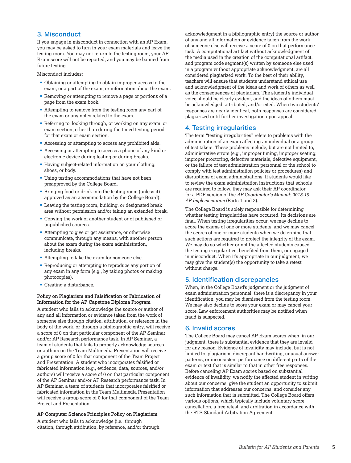#### 3. Misconduct

If you engage in misconduct in connection with an AP Exam, you may be asked to turn in your exam materials and leave the testing room. You may not return to the testing room, your AP Exam score will not be reported, and you may be banned from future testing.

Misconduct includes:

- § Obtaining or attempting to obtain improper access to the exam, or a part of the exam, or information about the exam.
- Removing or attempting to remove a page or portions of a page from the exam book.
- § Attempting to remove from the testing room any part of the exam or any notes related to the exam.
- Referring to, looking through, or working on any exam, or exam section, other than during the timed testing period for that exam or exam section.
- Accessing or attempting to access any prohibited aids.
- § Accessing or attempting to access a phone of any kind or electronic device during testing or during breaks.
- Having subject-related information on your clothing, shoes, or body.
- Using testing accommodations that have not been preapproved by the College Board.
- Bringing food or drink into the testing room (unless it's approved as an accommodation by the College Board).
- § Leaving the testing room, building, or designated break area without permission and/or taking an extended break.
- § Copying the work of another student or of published or unpublished sources.
- Attempting to give or get assistance, or otherwise communicate, through any means, with another person about the exam during the exam administration, including breaks.
- Attempting to take the exam for someone else.
- Reproducing or attempting to reproduce any portion of any exam in any form (e.g., by taking photos or making photocopies).
- Creating a disturbance.

#### **Policy on Plagiarism and Falsification or Fabrication of Information for the AP Capstone Diploma Program**

A student who fails to acknowledge the source or author of any and all information or evidence taken from the work of someone else through citation, attribution, or reference in the body of the work, or through a bibliographic entry, will receive a score of 0 on that particular component of the AP Seminar and/or AP Research performance task. In AP Seminar, a team of students that fails to properly acknowledge sources or authors on the Team Multimedia Presentation will receive a group score of 0 for that component of the Team Project and Presentation. A student who incorporates falsified or fabricated information (e.g., evidence, data, sources, and/or authors) will receive a score of 0 on that particular component of the AP Seminar and/or AP Research performance task. In AP Seminar, a team of students that incorporates falsified or fabricated information in the Team Multimedia Presentation will receive a group score of 0 for that component of the Team Project and Presentation.

#### **AP Computer Science Principles Policy on Plagiarism**

A student who fails to acknowledge (i.e., through citation, through attribution, by reference, and/or through acknowledgment in a bibliographic entry) the source or author of any and all information or evidence taken from the work of someone else will receive a score of 0 on that performance task. A computational artifact without acknowledgment of the media used in the creation of the computational artifact, and program code segment(s) written by someone else used in a program without appropriate acknowledgment, are all considered plagiarized work. To the best of their ability, teachers will ensure that students understand ethical use and acknowledgment of the ideas and work of others as well as the consequences of plagiarism. The student's individual voice should be clearly evident, and the ideas of others must be acknowledged, attributed, and/or cited. When two students' responses are nearly identical, both responses are considered plagiarized until further investigation upon appeal.

#### 4. Testing irregularities

The term "testing irregularities" refers to problems with the administration of an exam affecting an individual or a group of test takers. These problems include, but are not limited to, administrative errors (e.g., improper timing, improper seating, improper proctoring, defective materials, defective equipment, or the failure of test administration personnel or the school to comply with test administration policies or procedures) and disruptions of exam administrations. If students would like to review the exam administration instructions that schools are required to follow, they may ask their AP coordinator for a PDF version of the *AP Coordinator's Manual: 2018-19 AP Implementation* (Parts 1 and 2).

The College Board is solely responsible for determining whether testing irregularities have occurred. Its decisions are final. When testing irregularities occur, we may decline to score the exams of one or more students, and we may cancel the scores of one or more students when we determine that such actions are required to protect the integrity of the exam. We may do so whether or not the affected students caused the testing irregularities, benefited from them, or engaged in misconduct. When it's appropriate in our judgment, we may give the student(s) the opportunity to take a retest without charge.

#### 5. Identification discrepancies

When, in the College Board's judgment or the judgment of exam administration personnel, there is a discrepancy in your identification, you may be dismissed from the testing room. We may also decline to score your exam or may cancel your score. Law enforcement authorities may be notified when fraud is suspected.

#### 6. Invalid scores

The College Board may cancel AP Exam scores when, in our judgment, there is substantial evidence that they are invalid for any reason. Evidence of invalidity may include, but is not limited to, plagiarism, discrepant handwriting, unusual answer patterns, or inconsistent performance on different parts of the exam or text that is similar to that in other free responses. Before canceling AP Exam scores based on substantial evidence of invalidity, we notify the affected student in writing about our concerns, give the student an opportunity to submit information that addresses our concerns, and consider any such information that is submitted. The College Board offers various options, which typically include voluntary score cancellation, a free retest, and arbitration in accordance with the ETS Standard Arbitration Agreement.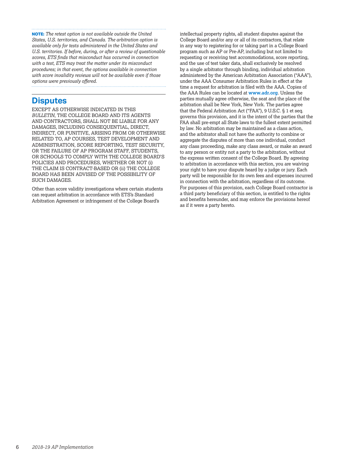**NOTE:** *The retest option is not available outside the United States, U.S. territories, and Canada. The arbitration option is available only for tests administered in the United States and U.S. territories. If before, during, or after a review of questionable scores, ETS finds that misconduct has occurred in connection with a test, ETS may treat the matter under its misconduct procedures; in that event, the options available in connection with score invalidity reviews will not be available even if those options were previously offered.* 

### **Disputes**

EXCEPT AS OTHERWISE INDICATED IN THIS *BULLETIN*, THE COLLEGE BOARD AND ITS AGENTS AND CONTRACTORS, SHALL NOT BE LIABLE FOR ANY DAMAGES, INCLUDING CONSEQUENTIAL, DIRECT, INDIRECT, OR PUNITIVE, ARISING FROM OR OTHERWISE RELATED TO, AP COURSES, TEST DEVELOPMENT AND ADMINISTRATION, SCORE REPORTING, TEST SECURITY, OR THE FAILURE OF AP PROGRAM STAFF, STUDENTS, OR SCHOOLS TO COMPLY WITH THE COLLEGE BOARD'S POLICIES AND PROCEDURES, WHETHER OR NOT (i) THE CLAIM IS CONTRACT-BASED OR (ii) THE COLLEGE BOARD HAS BEEN ADVISED OF THE POSSIBILITY OF SUCH DAMAGES.

Other than score validity investigations where certain students can request arbitration in accordance with ETS's Standard Arbitration Agreement or infringement of the College Board's

intellectual property rights, all student disputes against the College Board and/or any or all of its contractors, that relate in any way to registering for or taking part in a College Board program such as AP or Pre-AP, including but not limited to requesting or receiving test accommodations, score reporting, and the use of test taker data, shall exclusively be resolved by a single arbitrator through binding, individual arbitration administered by the American Arbitration Association ("AAA"), under the AAA Consumer Arbitration Rules in effect at the time a request for arbitration is filed with the AAA. Copies of the AAA Rules can be located at **[www.adr.org](https://www.adr.org)**. Unless the parties mutually agree otherwise, the seat and the place of the arbitration shall be New York, New York. The parties agree that the Federal Arbitration Act ("FAA"), 9 U.S.C. § 1 et seq. governs this provision, and it is the intent of the parties that the FAA shall pre-empt all State laws to the fullest extent permitted by law. No arbitration may be maintained as a class action, and the arbitrator shall not have the authority to combine or aggregate the disputes of more than one individual, conduct any class proceeding, make any class award, or make an award to any person or entity not a party to the arbitration, without the express written consent of the College Board. By agreeing to arbitration in accordance with this section, you are waiving your right to have your dispute heard by a judge or jury. Each party will be responsible for its own fees and expenses incurred in connection with the arbitration, regardless of its outcome. For purposes of this provision, each College Board contractor is a third party beneficiary of this section, is entitled to the rights and benefits hereunder, and may enforce the provisions hereof as if it were a party hereto.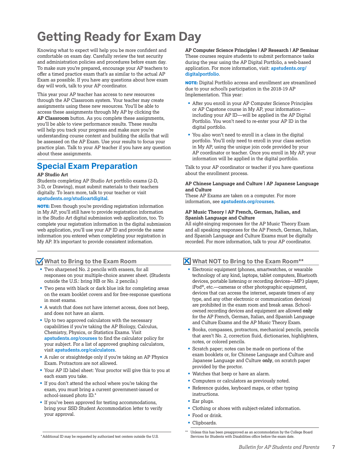# <span id="page-8-0"></span>**Getting Ready for Exam Day**

Knowing what to expect will help you be more confident and comfortable on exam day. Carefully review the test security and administration policies and procedures before exam day. To make sure you're prepared, encourage your AP teachers to offer a timed practice exam that's as similar to the actual AP Exam as possible. If you have any questions about how exam day will work, talk to your AP coordinator.

This year your AP teacher has access to new resources through the AP Classroom system. Your teacher may create assignments using these new resources. You'll be able to access these assignments through My AP by clicking the **AP Classroom** button. As you complete these assignments, you'll be able to view performance results. These results will help you track your progress and make sure you're understanding course content and building the skills that will be assessed on the AP Exam. Use your results to focus your practice plan. Talk to your AP teacher if you have any question about these assignments.

# **Special Exam Preparation**

#### **AP Studio Art**

Students completing AP Studio Art portfolio exams (2-D, 3-D, or Drawing), must submit materials to their teachers digitally. To learn more, talk to your teacher or visit **[apstudents.org/studioartdigital](http://apstudents.org/studioartdigital)**.

**NOTE:** Even though you're providing registration information in My AP, you'll still have to provide registration information in the Studio Art digital submission web application, too. To complete your registration information in the digital submission web application, you'll use your AP ID and provide the same information you entered when completing your registration in My AP. It's important to provide consistent information.

#### **What to Bring to the Exam Room**

- § Two sharpened No. 2 pencils with erasers, for all responses on your multiple-choice answer sheet. (Students outside the U.S.: bring HB or No. 2 pencils.)
- § Two pens with black or dark blue ink for completing areas on the exam booklet covers and for free-response questions in most exams.
- A watch that does not have internet access, does not beep, and does not have an alarm.
- § Up to two approved calculators with the necessary capabilities if you're taking the AP Biology, Calculus, Chemistry, Physics, or Statistics Exams. Visit **[apstudents.org/courses](http://apstudents.org/courses)** to find the calculator policy for your subject. For a list of approved graphing calculators, visit **[apstudents.org/calculators](http://apstudents.org/calculators)**.
- A ruler or straightedge only if you're taking an AP Physics Exam. Protractors are not allowed.
- § Your AP ID label sheet: Your proctor will give this to you at each exam you take.
- § If you don't attend the school where you're taking the exam, you must bring a current government-issued or school-issued photo ID.\*
- If you've been approved for testing accommodations, bring your SSD Student Accommodation letter to verify your approval.

**AP Computer Science Principles | AP Research | AP Seminar** These courses require students to submit performance tasks during the year using the AP Digital Portfolio, a web-based application. For more information, visit: **[apstudents.org/](http://apstudents.org/digitalportfolio) [digitalportfolio](http://apstudents.org/digitalportfolio)**.

**NOTE:** Digital Portfolio access and enrollment are streamlined due to your school's participation in the 2018-19 AP Implementation. This year:

- After you enroll in your AP Computer Science Principles or AP Capstone course in My AP, your information including your AP ID—will be applied in the AP Digital Portfolio. You won't need to re-enter your AP ID in the digital portfolio.
- § You also won't need to enroll in a class in the digital portfolio. You'll only need to enroll in your class section in My AP, using the unique join code provided by your AP coordinator or teacher. Once you enroll in My AP, your information will be applied in the digital portfolio.

Talk to your AP coordinator or teacher if you have questions about the enrollment process.

#### **AP Chinese Language and Culture | AP Japanese Language and Culture**

These AP Exams are taken on a computer. For more information, see **[apstudents.org/courses](http://apstudents.org/courses)**.

#### **AP Music Theory | AP French, German, Italian, and Spanish Language and Culture**

All sight-singing responses for the AP Music Theory Exam and all speaking responses for the AP French, German, Italian, and Spanish Language and Culture Exams must be digitally recorded. For more information, talk to your AP coordinator.

### **What NOT to Bring to the Exam Room\*\***

- Electronic equipment (phones, smartwatches, or wearable technology of any kind, laptops, tablet computers, Bluetooth devices, portable listening or recording devices—MP3 player, iPod®, etc.—cameras or other photographic equipment, devices that can access the internet, separate timers of any type, and any other electronic or communication devices) are prohibited in the exam room and break areas. Schoolowned recording devices and equipment are allowed **only** for the AP French, German, Italian, and Spanish Language and Culture Exams and the AP Music Theory Exam.
- § Books, compasses, protractors, mechanical pencils, pencils that aren't No. 2, correction fluid, dictionaries, highlighters, notes, or colored pencils.
- Scratch paper; notes can be made on portions of the exam booklets or, for Chinese Language and Culture and Japanese Language and Culture **only**, on scratch paper provided by the proctor.
- § Watches that beep or have an alarm.
- Computers or calculators as previously noted.
- § Reference guides, keyboard maps, or other typing instructions.
- § Ear plugs.
- § Clothing or shoes with subject-related information.
- Food or drink.
- § Clipboards.

<sup>\*</sup>Additional ID may be requested by authorized test centers outside the U.S.

Unless this has been preapproved as an accommodation by the College Board Services for Students with Disabilities office before the exam date.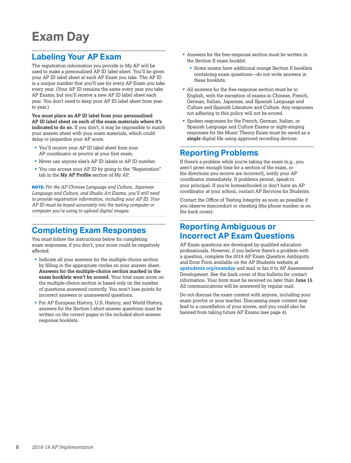# <span id="page-9-0"></span>**Exam Day**

# **Labeling Your AP Exam**

The registration information you provide in My AP will be used to make a personalized AP ID label sheet. You'll be given your AP ID label sheet at each AP Exam you take. The AP ID is a unique number that you'll use for every AP Exam you take every year. (Your AP ID remains the same every year you take AP Exams, but you'll receive a new AP ID label sheet each year. You don't need to keep your AP ID label sheet from year to year.)

**You must place an AP ID label from your personalized AP ID label sheet on each of the exam materials where it's indicated to do so.** If you don't, it may be impossible to match your answer sheet with your exam materials, which could delay or jeopardize your AP score.

- § You'll receive your AP ID label sheet from your AP coordinator or proctor at your first exam.
- § Never use anyone else's AP ID labels or AP ID number.
- § You can access your AP ID by going to the "Registration" tab in the **My AP Profile** section of My AP.

**NOTE:** *For the AP Chinese Language and Culture, Japanese Language and Culture, and Studio Art Exams, you'll still need to provide registration information, including your AP ID. Your AP ID must be keyed accurately into the testing computer or computer you're using to upload digital images.* 

# **Completing Exam Responses**

You must follow the instructions below for completing exam responses; if you don't, your score could be negatively affected.

- Indicate all your answers for the multiple-choice section by filling in the appropriate circles on your answer sheet. **Answers for the multiple-choice section marked in the exam booklets won't be scored.** Your total exam score on the multiple-choice section is based only on the number of questions answered correctly. You won't lose points for incorrect answers or unanswered questions.
- For AP European History, U.S. History, and World History, answers for the Section I short-answer questions must be written on the correct pages in the included short-answer response booklets.
- § Answers for the free-response section must be written in the Section II exam booklet.
	- Some exams have additional orange Section II booklets containing exam questions—do not write answers in these booklets.
- § All answers for the free-response section must be in English, with the exception of exams in Chinese, French, German, Italian, Japanese, and Spanish Language and Culture and Spanish Literature and Culture. Any responses not adhering to this policy will not be scored.
- § Spoken responses for the French, German, Italian, or Spanish Language and Culture Exams or sight-singing responses for the Music Theory Exam must be saved as a **single** digital file using approved recording devices.

### **Reporting Problems**

If there's a problem while you're taking the exam (e.g., you aren't given enough time for a section of the exam, or the directions you receive are incorrect), notify your AP coordinator immediately. If problems persist, speak to your principal. If you're homeschooled or don't have an AP coordinator at your school, contact AP Services for Students.

Contact the Office of Testing Integrity as soon as possible if you observe misconduct or cheating (the phone number is on the back cover).

# **Reporting Ambiguous or Incorrect AP Exam Questions**

AP Exam questions are developed by qualified education professionals. However, if you believe there's a problem with a question, complete the 2019 AP Exam Question Ambiguity and Error Form available on the AP Students website at **[apstudents.org/examday](http://apstudents.org/examday)** and mail or fax it to AP Assessment Development. See the back cover of this bulletin for contact information. Your form must be received no later than **June 15**. All communications will be answered by regular mail.

Do not discuss the exam content with anyone, including your exam proctor or your teacher. Discussing exam content may lead to a cancellation of your scores, and you could also be banned from taking future AP Exams (see page 4).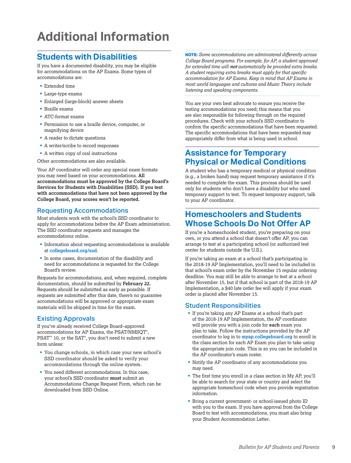# <span id="page-10-0"></span>**Additional Information**

# **Students with Disabilities**

If you have a documented disability, you may be eligible for accommodations on the AP Exams. Some types of accommodations are:

- Extended time
- § Large-type exams
- § Enlarged (large-block) answer sheets
- § Braille exams
- § ATC-format exams
- § Permission to use a braille device, computer, or magnifying device
- A reader to dictate questions
- § A writer/scribe to record responses
- A written copy of oral instructions

Other accommodations are also available.

Your AP coordinator will order any special exam formats you may need based on your accommodations. **All accommodations must be approved by the College Board's Services for Students with Disabilities (SSD). If you test with accommodations that have not been approved by the College Board, your scores won't be reported.**

#### Requesting Accommodations

Most students work with the school's SSD coordinator to apply for accommodations before the AP Exam administration. The SSD coordinator requests and manages the accommodations online.

- Information about requesting accommodations is available at **[collegeboard.org/ssd](http://www.collegeboard.org/ssd)**.
- § In some cases, documentation of the disability and need for accommodations is requested for the College Board's review.

Requests for accommodations, and, when required, complete documentation, should be submitted by **February 22.** Requests should be submitted as early as possible. If requests are submitted after this date, there's no guarantee accommodations will be approved or appropriate exam materials will be shipped in time for the exam.

#### Existing Approvals

If you've already received College Board–approved accommodations for AP Exams, the PSAT/NMSQT® ,  $PSAT^{\mathfrak{m}}$  10, or the  $SAT^{\mathfrak{g}}$ , you don't need to submit a new form unless:

- § You change schools, in which case your new school's SSD coordinator should be asked to verify your accommodations through the online system.
- You need different accommodations. In this case, your school's SSD coordinator **must** submit an Accommodations Change Request Form, which can be downloaded from SSD Online.

**NOTE:** *Some accommodations are administered differently across College Board programs. For example, for AP, a student approved for extended time will not automatically be provided extra breaks. A student requiring extra breaks must apply for that specific accommodation for AP Exams. Keep in mind that AP Exams in most world languages and cultures and Music Theory include listening and speaking components.*

You are your own best advocate to ensure you receive the testing accommodations you need; this means that you are also responsible for following through on the required procedures. Check with your school's SSD coordinator to confirm the specific accommodations that have been requested. The specific accommodations that have been requested may appropriately differ from what is being used in school.

# **Assistance for Temporary Physical or Medical Conditions**

A student who has a temporary medical or physical condition (e.g., a broken hand) may request temporary assistance if it's needed to complete the exam. This process should be used only for students who don't have a disability but who need temporary support to test. To request temporary support, talk to your AP coordinator.

# **Homeschoolers and Students Whose Schools Do Not Offer AP**

If you're a homeschooled student, you're preparing on your own, or you attend a school that doesn't offer AP, you can arrange to test at a participating school (or authorized test center for students outside the U.S.).

If you're taking an exam at a school that's participating in the 2018-19 AP Implementation, you'll need to be included in that school's exam order by the November 15 regular ordering deadline. You may still be able to arrange to test at a school after November 15, but if that school is part of the 2018-19 AP Implementation, a \$40 late order fee will apply if your exam order is placed after November 15.

#### Student Responsibilities

- If you're taking any AP Exams at a school that's part of the 2018-19 AP Implementation, the AP coordinator will provide you with a join code for **each** exam you plan to take. Follow the instructions provided by the AP coordinator to log in to **[myap.collegeboard.org](https://myap.collegeboard.org/login)** to enroll in the class section for each AP Exam you plan to take using the appropriate join code. This is so you can be included in the AP coordinator's exam roster.
- § Notify the AP coordinator of any accommodations you may need.
- § The first time you enroll in a class section in My AP, you'll be able to search for your state or country and select the appropriate homeschool code when you provide registration information.
- § Bring a current government- or school-issued photo ID with you to the exam. If you have approval from the College Board to test with accommodations, you must also bring your Student Accommodation Letter.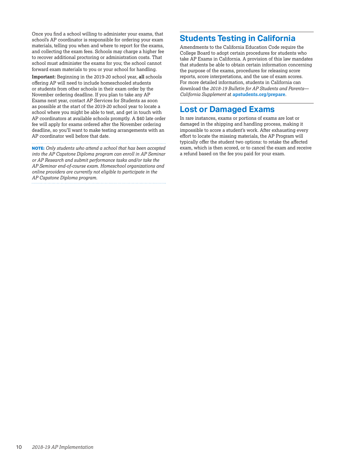Once you find a school willing to administer your exams, that school's AP coordinator is responsible for ordering your exam materials, telling you when and where to report for the exams, and collecting the exam fees. Schools may charge a higher fee to recover additional proctoring or administration costs. That school must administer the exams for you; the school cannot forward exam materials to you or your school for handling.

**Important:** Beginning in the 2019-20 school year, **all** schools offering AP will need to include homeschooled students or students from other schools in their exam order by the November ordering deadline. If you plan to take any AP Exams next year, contact AP Services for Students as soon as possible at the start of the 2019-20 school year to locate a school where you might be able to test, and get in touch with AP coordinators at available schools promptly. A \$40 late order fee will apply for exams ordered after the November ordering deadline, so you'll want to make testing arrangements with an AP coordinator well before that date.

**NOTE:** *Only students who attend a school that has been accepted into the AP Capstone Diploma program can enroll in AP Seminar or AP Research and submit performance tasks and/or take the AP Seminar end-of-course exam. Homeschool organizations and online providers are currently not eligible to participate in the AP Capstone Diploma program.*

# **Students Testing in California**

Amendments to the California Education Code require the College Board to adopt certain procedures for students who take AP Exams in California. A provision of this law mandates that students be able to obtain certain information concerning the purpose of the exams, procedures for releasing score reports, score interpretations, and the use of exam scores. For more detailed information, students in California can download the *2018-19 Bulletin for AP Students and Parents— California Supplement* at **[apstudents.org/prepare](http://apstudents.org/prepare)**.

### **Lost or Damaged Exams**

In rare instances, exams or portions of exams are lost or damaged in the shipping and handling process, making it impossible to score a student's work. After exhausting every effort to locate the missing materials, the AP Program will typically offer the student two options: to retake the affected exam, which is then scored, or to cancel the exam and receive a refund based on the fee you paid for your exam.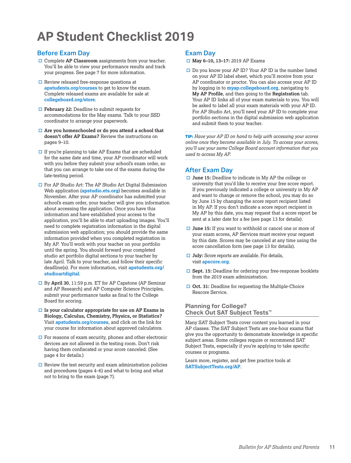# <span id="page-12-0"></span>**AP Student Checklist 2019**

#### Before Exam Day

- $\Box$  Complete AP Classroom assignments from your teacher. You'll be able to view your performance results and track your progress. See page 7 for more information.
- $\square$  Review released free-response questions at **[apstudents.org/courses](http://apstudents.org/courses)** to get to know the exam. Complete released exams are available for sale at **[collegeboard.org/store](http://collegeboard.org/store)**.
- □ **February 22:** Deadline to submit requests for accommodations for the May exams. Talk to your SSD coordinator to arrange your paperwork.
- □ Are you homeschooled or do you attend a school that **doesn't offer AP Exams?** Review the instructions on pages 9–10.
- $\Box$  If you're planning to take AP Exams that are scheduled for the same date and time, your AP coordinator will work with you before they submit your school's exam order, so that you can arrange to take one of the exams during the late-testing period.
- $\Box$  For AP Studio Art: The AP Studio Art Digital Submission Web application (**[apstudio.ets.org](http://apstudio.ets.org)**) becomes available in November. After your AP coordinator has submitted your school's exam order, your teacher will give you information about accessing the application. Once you have this information and have established your access to the application, you'll be able to start uploading images. You'll need to complete registration information in the digital submission web application; you should provide the same information provided when you completed registration in My AP. You'll work with your teacher on your portfolio until the spring. You should forward your completed studio art portfolio digital sections to your teacher by late April. Talk to your teacher, and follow their specific deadline(s). For more information, visit **[apstudents.org/](http://apstudents.org/studioartdigital) [studioartdigital](http://apstudents.org/studioartdigital)**.
- □ By April 30, 11:59 p.m. ET for AP Capstone (AP Seminar and AP Research) and AP Computer Science Principles, submit your performance tasks as final to the College Board for scoring.
- $\Box$  Is your calculator appropriate for use on AP Exams in **Biology, Calculus, Chemistry, Physics, or Statistics?**  Visit **[apstudents.org/courses](http://apstudents.org/courses)**, and click on the link for your course for information about approved calculators.
- $\Box$  For reasons of exam security, phones and other electronic devices are not allowed in the testing room. Don't risk having them confiscated or your score canceled. (See page 4 for details.)
- $\square$  Review the test security and exam administration policies and procedures (pages 4–6) and what to bring and what not to bring to the exam (page 7).

#### Exam Day

- □ May 6-10, 13-17: 2019 AP Exams
- $\square$  Do you know your AP ID? Your AP ID is the number listed on your AP ID label sheet, which you'll receive from your AP coordinator or proctor. You can also access your AP ID by logging in to **[myap.collegeboard.org](https://myap.collegeboard.org/login)**, navigating to **My AP Profile**, and then going to the **Registration** tab. Your AP ID links all of your exam materials to you. You will be asked to label all your exam materials with your AP ID. For AP Studio Art, you'll need your AP ID to complete your portfolio sections in the digital submission web application and submit them to your teacher.

**TIP:** *Have your AP ID on hand to help with accessing your scores online once they become available in July. To access your scores, you'll use your same College Board account information that you used to access My AP.*

### After Exam Day

- **□ June 15:** Deadline to indicate in My AP the college or university that you'd like to receive your free score report. If you previously indicated a college or university in My AP and want to change or remove the school, you may do so by June 15 by changing the score report recipient listed in My AP. If you don't indicate a score report recipient in My AP by this date, you may request that a score report be sent at a later date for a fee (see page 13 for details).
- **□ June 15:** If you want to withhold or cancel one or more of your exam scores, AP Services must receive your request by this date. Scores may be canceled at any time using the score cancellation form (see page 13 for details).
- **July:** Score reports are available. For details, visit **[apscore.org](http://apscore.org)**.
- □ Sept. 15: Deadline for ordering your free-response booklets from the 2019 exam administration.
- □ Oct. 31: Deadline for requesting the Multiple-Choice Rescore Service.

#### **Planning for College? Check Out SAT Subject Tests™**

Many SAT Subject Tests cover content you learned in your AP classes. The SAT Subject Tests are one-hour exams that give you the opportunity to demonstrate knowledge in specific subject areas. Some colleges require or recommend SAT Subject Tests, especially if you're applying to take specific courses or programs.

Learn more, register, and get free practice tools at **[SATSubjectTests.org/AP](http://www.SATSubjectTests.org/AP)**.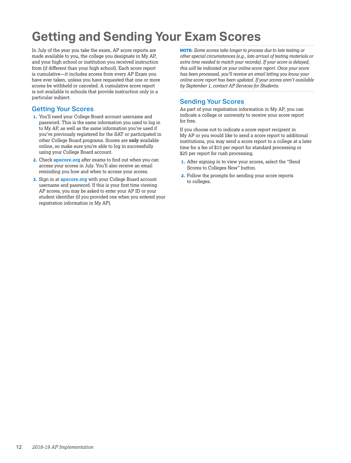# <span id="page-13-0"></span>**Getting and Sending Your Exam Scores**

In July of the year you take the exam, AP score reports are made available to you, the college you designate in My AP, and your high school or institution you received instruction from (if different than your high school). Each score report is cumulative—it includes scores from every AP Exam you have ever taken, unless you have requested that one or more scores be withheld or canceled. A cumulative score report is not available to schools that provide instruction only in a particular subject.

#### Getting Your Scores

- **1.** You'll need your College Board account username and password. This is the same information you used to log in to My AP, as well as the same information you've used if you've previously registered for the SAT or participated in other College Board programs. Scores are **only** available online, so make sure you're able to log in successfully using your College Board account.
- **2.** Check **[apscore.org](http://apscore.org)** after exams to find out when you can access your scores in July. You'll also receive an email reminding you how and when to access your scores.
- **3.** Sign in at **[apscore.org](http://apscore.org)** with your College Board account username and password. If this is your first time viewing AP scores, you may be asked to enter your AP ID or your student identifier (if you provided one when you entered your registration information in My AP).

**NOTE:** *Some scores take longer to process due to late testing or other special circumstances (e.g., late arrival of testing materials or extra time needed to match your records). If your score is delayed, this will be indicated on your online score report. Once your score has been processed, you'll receive an email letting you know your online score report has been updated. If your scores aren't available by September 1, contact AP Services for Students.*

### Sending Your Scores

As part of your registration information in My AP, you can indicate a college or university to receive your score report for free.

If you choose not to indicate a score report recipient in My AP or you would like to send a score report to additional institutions, you may send a score report to a college at a later time for a fee of \$15 per report for standard processing or \$25 per report for rush processing.

- **1.** After signing in to view your scores, select the "Send Scores to Colleges Now" button.
- **2.** Follow the prompts for sending your score reports to colleges.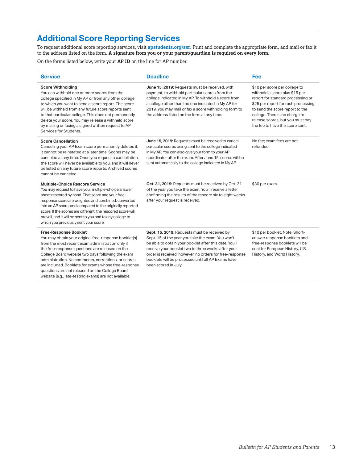# **Additional Score Reporting Services**

To request additional score reporting services, visit **[apstudents.org/ssr](http://apstudents.org/ssr)**. Print and complete the appropriate form, and mail or fax it to the address listed on the form. **A signature from you or your parent/guardian is required on every form.**

On the forms listed below, write your **AP ID** on the line for AP number.

 $\overline{a}$ 

website (e.g., late-testing exams) are not available.

| <b>Service</b>                                                                                                                                                                                                                                                                                                                                                                                                                                  | <b>Deadline</b>                                                                                                                                                                                                                                                                                                                                            | Fee                                                                                                                                                                                                                                                                                    |
|-------------------------------------------------------------------------------------------------------------------------------------------------------------------------------------------------------------------------------------------------------------------------------------------------------------------------------------------------------------------------------------------------------------------------------------------------|------------------------------------------------------------------------------------------------------------------------------------------------------------------------------------------------------------------------------------------------------------------------------------------------------------------------------------------------------------|----------------------------------------------------------------------------------------------------------------------------------------------------------------------------------------------------------------------------------------------------------------------------------------|
| <b>Score Withholding</b><br>You can withhold one or more scores from the<br>college specified in My AP or from any other college<br>to which you want to send a score report. The score<br>will be withheld from any future score reports sent<br>to that particular college. This does not permanently<br>delete your score. You may release a withheld score<br>by mailing or faxing a signed written request to AP<br>Services for Students. | June 15, 2019: Requests must be received, with<br>payment, to withhold particular scores from the<br>college indicated in My AP. To withhold a score from<br>a college other than the one indicated in My AP for<br>2019, you may mail or fax a score withholding form to<br>the address listed on the form at any time.                                   | \$10 per score per college to<br>withhold a score plus \$15 per<br>report for standard processing or<br>\$25 per report for rush processing<br>to send the score report to the<br>college. There's no charge to<br>release scores, but you must pay<br>the fee to have the score sent. |
| <b>Score Cancellation</b><br>Canceling your AP Exam score permanently deletes it;<br>it cannot be reinstated at a later time. Scores may be<br>canceled at any time. Once you request a cancellation,<br>the score will never be available to you, and it will never<br>be listed on any future score reports. Archived scores<br>cannot be canceled.                                                                                           | June 15, 2019: Requests must be received to cancel<br>particular scores being sent to the college indicated<br>in My AP. You can also give your form to your AP<br>coordinator after the exam. After June 15, scores will be<br>sent automatically to the college indicated in My AP.                                                                      | No fee: exam fees are not<br>refunded.                                                                                                                                                                                                                                                 |
| <b>Multiple-Choice Rescore Service</b><br>You may request to have your multiple-choice answer<br>sheet rescored by hand. That score and your free-<br>response score are weighted and combined, converted<br>into an AP score, and compared to the originally reported<br>score. If the scores are different, the rescored score will<br>prevail, and it will be sent to you and to any college to<br>which you previously sent your score.     | Oct. 31, 2019: Requests must be received by Oct. 31<br>of the year you take the exam. You'll receive a letter<br>confirming the results of the rescore six to eight weeks<br>after your request is received.                                                                                                                                               | \$30 per exam.                                                                                                                                                                                                                                                                         |
| <b>Free-Response Booklet</b><br>You may obtain your original free-response booklet(s)<br>from the most recent exam administration only if<br>the free-response questions are released on the<br>College Board website two days following the exam<br>administration. No comments, corrections, or scores<br>are included. Booklets for exams whose free-response<br>questions are not released on the College Board                             | Sept. 15, 2019: Requests must be received by<br>Sept. 15 of the year you take the exam. You won't<br>be able to obtain your booklet after this date. You'll<br>receive your booklet two to three weeks after your<br>order is received; however, no orders for free-response<br>booklets will be processed until all AP Exams have<br>been scored in July. | \$10 per booklet. Note: Short-<br>answer response booklets and<br>free-response booklets will be<br>sent for European History, U.S.<br>History, and World History.                                                                                                                     |